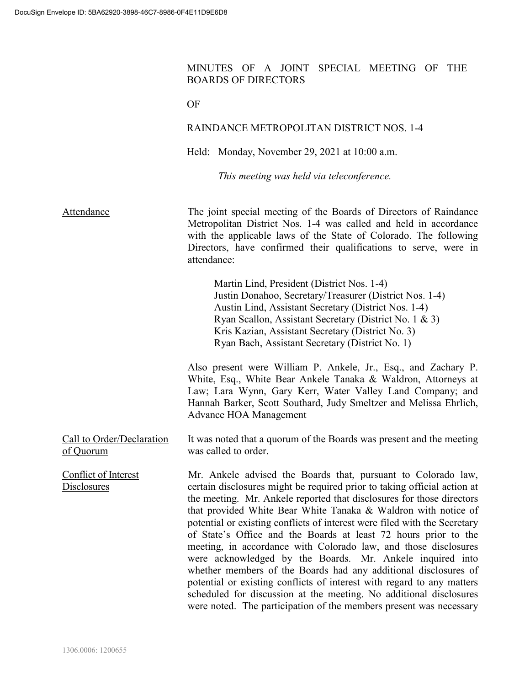## MINUTES OF A JOINT SPECIAL MEETING OF THE BOARDS OF DIRECTORS

|                                        | OF                                                                                                                                                                                                                                                                                                                                                                                                                                                                                                                                                                                                                                                                                                                                                                                                                                                            |
|----------------------------------------|---------------------------------------------------------------------------------------------------------------------------------------------------------------------------------------------------------------------------------------------------------------------------------------------------------------------------------------------------------------------------------------------------------------------------------------------------------------------------------------------------------------------------------------------------------------------------------------------------------------------------------------------------------------------------------------------------------------------------------------------------------------------------------------------------------------------------------------------------------------|
|                                        | RAINDANCE METROPOLITAN DISTRICT NOS. 1-4                                                                                                                                                                                                                                                                                                                                                                                                                                                                                                                                                                                                                                                                                                                                                                                                                      |
|                                        | Held: Monday, November 29, 2021 at 10:00 a.m.                                                                                                                                                                                                                                                                                                                                                                                                                                                                                                                                                                                                                                                                                                                                                                                                                 |
|                                        | This meeting was held via teleconference.                                                                                                                                                                                                                                                                                                                                                                                                                                                                                                                                                                                                                                                                                                                                                                                                                     |
| Attendance                             | The joint special meeting of the Boards of Directors of Raindance<br>Metropolitan District Nos. 1-4 was called and held in accordance<br>with the applicable laws of the State of Colorado. The following<br>Directors, have confirmed their qualifications to serve, were in<br>attendance:                                                                                                                                                                                                                                                                                                                                                                                                                                                                                                                                                                  |
|                                        | Martin Lind, President (District Nos. 1-4)<br>Justin Donahoo, Secretary/Treasurer (District Nos. 1-4)<br>Austin Lind, Assistant Secretary (District Nos. 1-4)<br>Ryan Scallon, Assistant Secretary (District No. 1 & 3)<br>Kris Kazian, Assistant Secretary (District No. 3)<br>Ryan Bach, Assistant Secretary (District No. 1)                                                                                                                                                                                                                                                                                                                                                                                                                                                                                                                               |
|                                        | Also present were William P. Ankele, Jr., Esq., and Zachary P.<br>White, Esq., White Bear Ankele Tanaka & Waldron, Attorneys at<br>Law; Lara Wynn, Gary Kerr, Water Valley Land Company; and<br>Hannah Barker, Scott Southard, Judy Smeltzer and Melissa Ehrlich,<br><b>Advance HOA Management</b>                                                                                                                                                                                                                                                                                                                                                                                                                                                                                                                                                            |
| Call to Order/Declaration<br>of Quorum | It was noted that a quorum of the Boards was present and the meeting<br>was called to order.                                                                                                                                                                                                                                                                                                                                                                                                                                                                                                                                                                                                                                                                                                                                                                  |
| Conflict of Interest<br>Disclosures    | Mr. Ankele advised the Boards that, pursuant to Colorado law,<br>certain disclosures might be required prior to taking official action at<br>the meeting. Mr. Ankele reported that disclosures for those directors<br>that provided White Bear White Tanaka & Waldron with notice of<br>potential or existing conflicts of interest were filed with the Secretary<br>of State's Office and the Boards at least 72 hours prior to the<br>meeting, in accordance with Colorado law, and those disclosures<br>were acknowledged by the Boards. Mr. Ankele inquired into<br>whether members of the Boards had any additional disclosures of<br>potential or existing conflicts of interest with regard to any matters<br>scheduled for discussion at the meeting. No additional disclosures<br>were noted. The participation of the members present was necessary |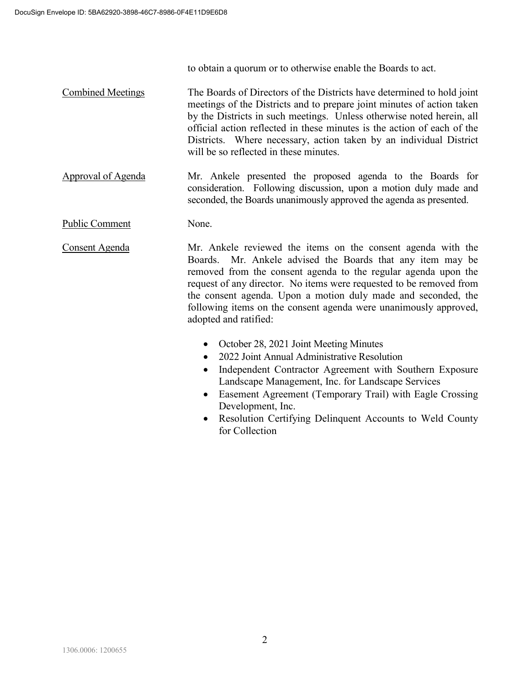to obtain a quorum or to otherwise enable the Boards to act.

Combined Meetings The Boards of Directors of the Districts have determined to hold joint meetings of the Districts and to prepare joint minutes of action taken by the Districts in such meetings. Unless otherwise noted herein, all official action reflected in these minutes is the action of each of the Districts. Where necessary, action taken by an individual District will be so reflected in these minutes.

Approval of Agenda Mr. Ankele presented the proposed agenda to the Boards for consideration. Following discussion, upon a motion duly made and seconded, the Boards unanimously approved the agenda as presented.

Public Comment None.

Consent Agenda Mr. Ankele reviewed the items on the consent agenda with the Boards. Mr. Ankele advised the Boards that any item may be removed from the consent agenda to the regular agenda upon the request of any director. No items were requested to be removed from the consent agenda. Upon a motion duly made and seconded, the following items on the consent agenda were unanimously approved, adopted and ratified:

- October 28, 2021 Joint Meeting Minutes
- 2022 Joint Annual Administrative Resolution
- Independent Contractor Agreement with Southern Exposure Landscape Management, Inc. for Landscape Services
- Easement Agreement (Temporary Trail) with Eagle Crossing Development, Inc.
- Resolution Certifying Delinquent Accounts to Weld County for Collection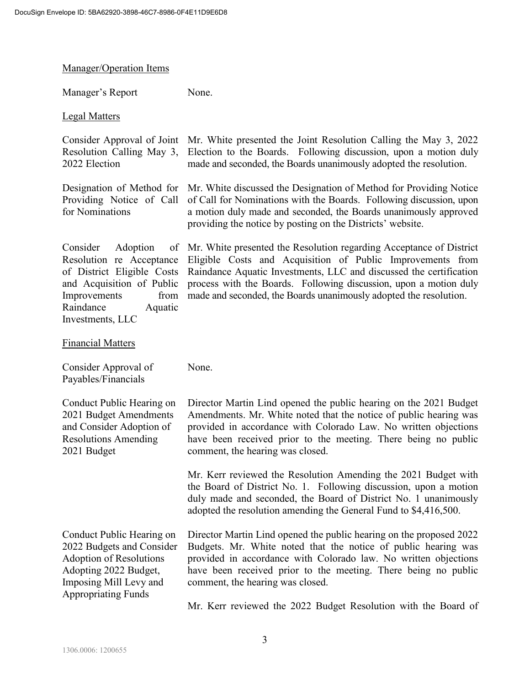Manager/Operation Items

| Manager's Report                                                                                                                                                                | None.                                                                                                                                                                                                                                                                                                                                                |
|---------------------------------------------------------------------------------------------------------------------------------------------------------------------------------|------------------------------------------------------------------------------------------------------------------------------------------------------------------------------------------------------------------------------------------------------------------------------------------------------------------------------------------------------|
| <b>Legal Matters</b>                                                                                                                                                            |                                                                                                                                                                                                                                                                                                                                                      |
| Consider Approval of Joint<br>Resolution Calling May 3,<br>2022 Election                                                                                                        | Mr. White presented the Joint Resolution Calling the May 3, 2022<br>Election to the Boards. Following discussion, upon a motion duly<br>made and seconded, the Boards unanimously adopted the resolution.                                                                                                                                            |
| Designation of Method for<br>Providing Notice of Call<br>for Nominations                                                                                                        | Mr. White discussed the Designation of Method for Providing Notice<br>of Call for Nominations with the Boards. Following discussion, upon<br>a motion duly made and seconded, the Boards unanimously approved<br>providing the notice by posting on the Districts' website.                                                                          |
| Consider<br>Adoption<br>Resolution re Acceptance<br>of District Eligible Costs<br>and Acquisition of Public<br>Improvements<br>from<br>Raindance<br>Aquatic<br>Investments, LLC | of Mr. White presented the Resolution regarding Acceptance of District<br>Eligible Costs and Acquisition of Public Improvements from<br>Raindance Aquatic Investments, LLC and discussed the certification<br>process with the Boards. Following discussion, upon a motion duly<br>made and seconded, the Boards unanimously adopted the resolution. |
| <b>Financial Matters</b>                                                                                                                                                        |                                                                                                                                                                                                                                                                                                                                                      |
| Consider Approval of<br>Payables/Financials                                                                                                                                     | None.                                                                                                                                                                                                                                                                                                                                                |
| Conduct Public Hearing on<br>2021 Budget Amendments<br>and Consider Adoption of<br><b>Resolutions Amending</b><br>2021 Budget                                                   | Director Martin Lind opened the public hearing on the 2021 Budget<br>Amendments. Mr. White noted that the notice of public hearing was<br>provided in accordance with Colorado Law. No written objections<br>have been received prior to the meeting. There being no public<br>comment, the hearing was closed.                                      |
|                                                                                                                                                                                 | Mr. Kerr reviewed the Resolution Amending the 2021 Budget with<br>the Board of District No. 1. Following discussion, upon a motion<br>duly made and seconded, the Board of District No. 1 unanimously<br>adopted the resolution amending the General Fund to \$4,416,500.                                                                            |
| Conduct Public Hearing on<br>2022 Budgets and Consider<br><b>Adoption of Resolutions</b><br>Adopting 2022 Budget,<br>Imposing Mill Levy and<br><b>Appropriating Funds</b>       | Director Martin Lind opened the public hearing on the proposed 2022<br>Budgets. Mr. White noted that the notice of public hearing was<br>provided in accordance with Colorado law. No written objections<br>have been received prior to the meeting. There being no public<br>comment, the hearing was closed.                                       |
|                                                                                                                                                                                 | Mr. Kerr reviewed the 2022 Budget Resolution with the Board of                                                                                                                                                                                                                                                                                       |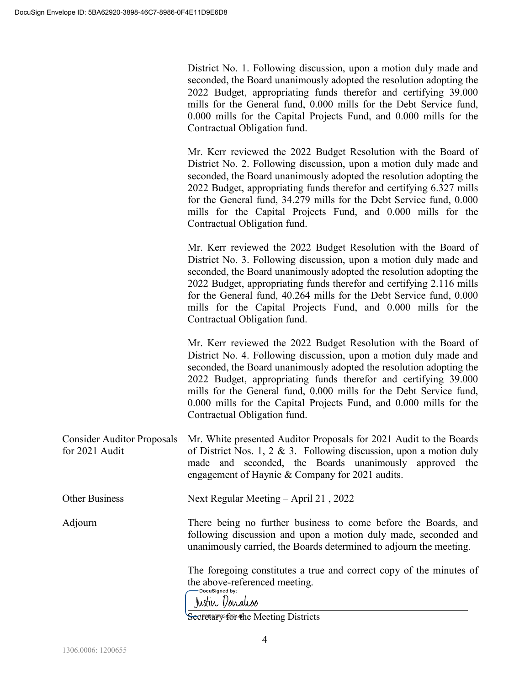District No. 1. Following discussion, upon a motion duly made and seconded, the Board unanimously adopted the resolution adopting the 2022 Budget, appropriating funds therefor and certifying 39.000 mills for the General fund, 0.000 mills for the Debt Service fund, 0.000 mills for the Capital Projects Fund, and 0.000 mills for the Contractual Obligation fund.

Mr. Kerr reviewed the 2022 Budget Resolution with the Board of District No. 2. Following discussion, upon a motion duly made and seconded, the Board unanimously adopted the resolution adopting the 2022 Budget, appropriating funds therefor and certifying 6.327 mills for the General fund, 34.279 mills for the Debt Service fund, 0.000 mills for the Capital Projects Fund, and 0.000 mills for the Contractual Obligation fund.

Mr. Kerr reviewed the 2022 Budget Resolution with the Board of District No. 3. Following discussion, upon a motion duly made and seconded, the Board unanimously adopted the resolution adopting the 2022 Budget, appropriating funds therefor and certifying 2.116 mills for the General fund, 40.264 mills for the Debt Service fund, 0.000 mills for the Capital Projects Fund, and 0.000 mills for the Contractual Obligation fund.

Mr. Kerr reviewed the 2022 Budget Resolution with the Board of District No. 4. Following discussion, upon a motion duly made and seconded, the Board unanimously adopted the resolution adopting the 2022 Budget, appropriating funds therefor and certifying 39.000 mills for the General fund, 0.000 mills for the Debt Service fund, 0.000 mills for the Capital Projects Fund, and 0.000 mills for the Contractual Obligation fund.

Consider Auditor Proposals for 2021 Audit Mr. White presented Auditor Proposals for 2021 Audit to the Boards of District Nos. 1, 2 & 3. Following discussion, upon a motion duly made and seconded, the Boards unanimously approved the engagement of Haynie & Company for 2021 audits.

Other Business Next Regular Meeting – April 21 , 2022

Adjourn

There being no further business to come before the Boards, and following discussion and upon a motion duly made, seconded and unanimously carried, the Boards determined to adjourn the meeting.

The foregoing constitutes a true and correct copy of the minutes of the above-referenced meeting.

Justin Vonaliss

 $\overline{a}$ Secretery fer the Meeting Districts